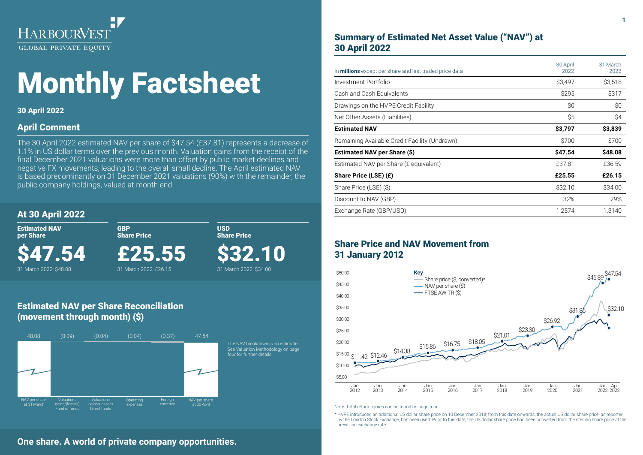

# Monthly Factsheet

## 30 April 2022

## April Comment

The 30 April 2022 estimated NAV per share of \$47.54 (£37.81) represents a decrease of 1.1% in US dollar terms over the previous month. Valuation gains from the receipt of the final December 2021 valuations were more than offset by public market declines and negative FX movements, leading to the overall small decline. The April estimated NAV is based predominantly on 31 December 2021 valuations (90%) with the remainder, the public company holdings, valued at month end.

> USD Share Price

\$32.10 31 March 2022: \$34.00

## At 30 April 2022

Estimated NAV per Share

\$47.54 31 March 2022: \$48.08

£25.55

GBP Share Price

31 March 2022: £26.15

## Estimated NAV per Share Reconciliation (movement through month) (\$)



## Summary of Estimated Net Asset Value ("NAV") at 30 April 2022

| In <b>millions</b> except per share and last traded price data | 30 April<br>2022 | 31 March<br>2022 |
|----------------------------------------------------------------|------------------|------------------|
| Investment Portfolio                                           | \$3,497          | \$3,518          |
| Cash and Cash Equivalents                                      | \$295            | \$317            |
| Drawings on the HVPE Credit Facility                           | \$0              | \$0              |
| Net Other Assets (Liabilities)                                 | \$5              | \$4              |
| <b>Estimated NAV</b>                                           | \$3,797          | \$3,839          |
| Remaining Available Credit Facility (Undrawn)                  | \$700            | \$700            |
| Estimated NAV per Share (\$)                                   | \$47.54          | \$48.08          |
| Estimated NAV per Share (£ equivalent)                         | £37.81           | £36.59           |
| Share Price (LSE) (£)                                          | £25.55           | £26.15           |
| Share Price (LSE) (\$)                                         | \$32.10          | \$34.00          |
| Discount to NAV (GBP)                                          | 32%              | 29%              |
| Exchange Rate (GBP/USD)                                        | 1.2574           | 1.3140           |

## Share Price and NAV Movement from 31 January 2012



Note: Total return figures can be found on page four.

\* HVPE introduced an additional US dollar share price on 10 December 2018; from this date onwards, the actual US dollar share price, as reported by the London Stock Exchange, has been used. Prior to this date, the US dollar share price had been converted from the sterling share price at the prevailing exchange rate.

## **One share. A world of private company opportunities.**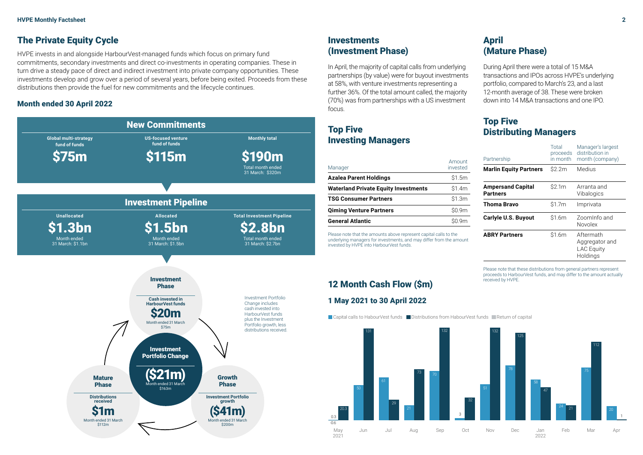## The Private Equity Cycle

HVPE invests in and alongside HarbourVest-managed funds which focus on primary fund commitments, secondary investments and direct co-investments in operating companies. These in turn drive a steady pace of direct and indirect investment into private company opportunities. These investments develop and grow over a period of several years, before being exited. Proceeds from these distributions then provide the fuel for new commitments and the lifecycle continues.

## Month ended 30 April 2022



## **Investments** (Investment Phase)

In April, the majority of capital calls from underlying partnerships (by value) were for buyout investments at 58%, with venture investments representing a further 36%. Of the total amount called, the majority (70%) was from partnerships with a US investment focus.

## Top Five Investing Managers

| Manager                                     | Amount<br>invested |
|---------------------------------------------|--------------------|
| <b>Azalea Parent Holdings</b>               | \$1.5m             |
| <b>Waterland Private Equity Investments</b> | \$1.4m             |
| <b>TSG Consumer Partners</b>                | \$1.3m             |
| <b>Qiming Venture Partners</b>              | \$0.9m             |
| <b>General Atlantic</b>                     |                    |

Please note that the amounts above represent capital calls to the underlying managers for investments, and may differ from the amount invested by HVPE into HarbourVest funds.

## 12 Month Cash Flow (\$m) 1 May 2021 to 30 April 2022



## (Mature Phase)

During April there were a total of 15 M&A transactions and IPOs across HVPE's underlying portfolio, compared to March's 23, and a last 12-month average of 38. These were broken down into 14 M&A transactions and one IPO.

## Top Five Distributing Managers

April

| Partnership                                 | Total<br>proceeds<br>in month | Manager's largest<br>distribution in<br>month (company)      |  |
|---------------------------------------------|-------------------------------|--------------------------------------------------------------|--|
| <b>Marlin Equity Partners</b>               | \$2.2m<br>Medius              |                                                              |  |
| <b>Ampersand Capital</b><br><b>Partners</b> | \$2.1m                        | Arranta and<br>Vibalogics                                    |  |
| <b>Thoma Bravo</b>                          | \$1.7m                        | Imprivata                                                    |  |
| Carlyle U.S. Buyout                         | \$1.6m                        | Zoominfo and<br>Novolex                                      |  |
| <b>ABRY Partners</b>                        | \$1.6m                        | Aftermath<br>Aggregator and<br><b>LAC Equity</b><br>Holdings |  |

Please note that these distributions from general partners represent proceeds to HarbourVest funds, and may differ to the amount actually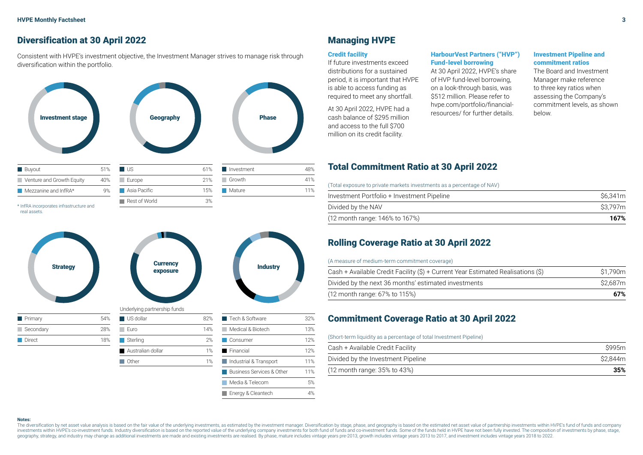## Diversification at 30 April 2022

Consistent with HVPE's investment objective, the Investment Manager strives to manage risk through diversification within the portfolio.



real assets.



## Managing HVPE

#### Credit facility

If future investments exceed distributions for a sustained period, it is important that HVPE is able to access funding as required to meet any shortfall.

At 30 April 2022, HVPE had a cash balance of \$295 million and access to the full \$700 million on its credit facility.

#### HarbourVest Partners ("HVP") Fund-level borrowing

At 30 April 2022, HVPE's share of HVP fund-level borrowing, on a look-through basis, was \$512 million. Please refer to hvpe.com/portfolio/financialresources/ for further details.

#### Investment Pipeline and commitment ratios

The Board and Investment Manager make reference to three key ratios when assessing the Company's commitment levels, as shown

## Total Commitment Ratio at 30 April 2022

(Total exposure to private markets investments as a percentage of NAV)

| Investment Portfolio + Investment Pipeline | \$6.341m |
|--------------------------------------------|----------|
| Divided by the NAV                         | S3.797m  |
| (12 month range: 146% to 167%)             | 167%     |

## Rolling Coverage Ratio at 30 April 2022

#### (A measure of medium-term commitment coverage)

| (12 month range: 67% to 115%)                                                    | 67%     |
|----------------------------------------------------------------------------------|---------|
| Divided by the next 36 months' estimated investments                             | S2.687m |
| Cash + Available Credit Facility (\$) + Current Year Estimated Realisations (\$) | S1.790m |

## Commitment Coverage Ratio at 30 April 2022

#### (Short-term liquidity as a percentage of total Investment Pipeline)

| Cash + Available Credit Facility                   | S995m   |
|----------------------------------------------------|---------|
| Divided by the Investment Pipeline                 | S2.844m |
| $(12 \text{ month range: } 35\% \text{ to } 43\%)$ | 35%     |

#### **Notes:**

The diversification by net asset value analysis is based on the fair value of the underlying investments, as estimated by the investment manager. Diversification by stage, phase, and geography is based on the estimated net investments within HVPE's co-investment funds. Industry diversification is based on the reported value of the underlying company investments for both fund of funds and co-investment funds. Some of the funds held in HVPE ha geography, strategy, and industry may change as additional investments are made and existing investments are realised. By phase, mature includes vintage years pre-2013, growth includes vintage years 2013 to 2017, and inves

Business Services & Other 11% Media & Telecom 5% Energy & Cleantech 4%